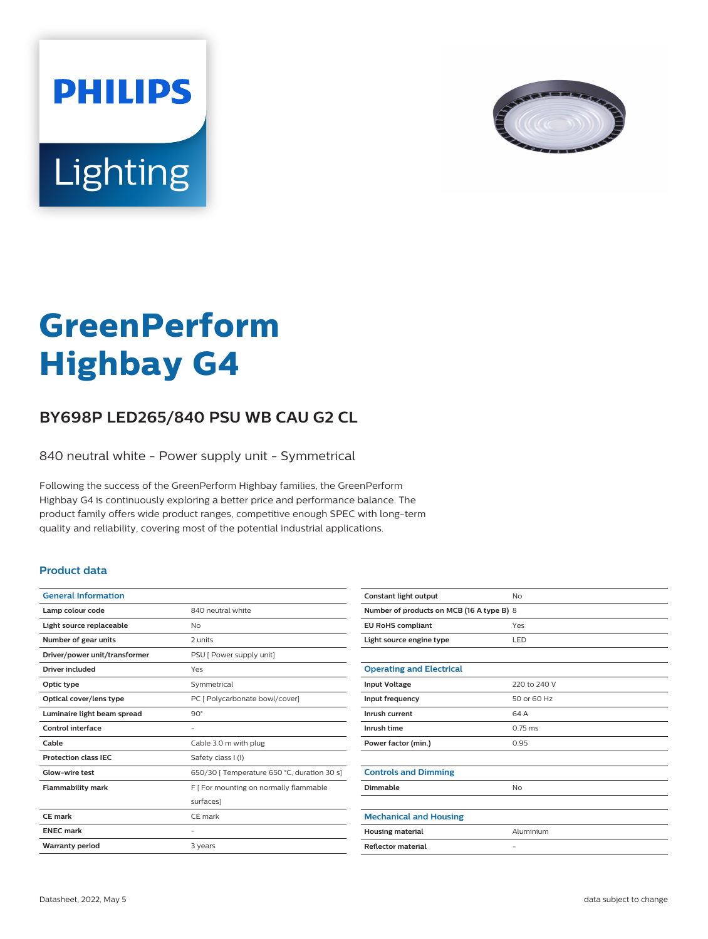



# **GreenPerform Highbay G4**

## **BY698P LED265/840 PSU WB CAU G2 CL**

840 neutral white - Power supply unit - Symmetrical

Following the success of the GreenPerform Highbay families, the GreenPerform Highbay G4 is continuously exploring a better price and performance balance. The product family offers wide product ranges, competitive enough SPEC with long-term quality and reliability, covering most of the potential industrial applications.

#### **Product data**

| <b>General Information</b>    |                                             |
|-------------------------------|---------------------------------------------|
| Lamp colour code              | 840 neutral white                           |
| Light source replaceable      | Nο                                          |
| Number of gear units          | 2 units                                     |
| Driver/power unit/transformer | PSU [ Power supply unit]                    |
| <b>Driver included</b>        | Yes                                         |
| Optic type                    | Symmetrical                                 |
| Optical cover/lens type       | PC [ Polycarbonate bowl/cover]              |
| Luminaire light beam spread   | $90^\circ$                                  |
| Control interface             |                                             |
| Cable                         | Cable 3.0 m with plug                       |
| <b>Protection class IEC</b>   | Safety class I (I)                          |
| Glow-wire test                | 650/30   Temperature 650 °C, duration 30 s] |
| <b>Flammability mark</b>      | F   For mounting on normally flammable      |
|                               | surfaces]                                   |
| CF mark                       | CF mark                                     |
| <b>ENEC mark</b>              |                                             |
| <b>Warranty period</b>        | 3 years                                     |
|                               |                                             |

| Constant light output                     | No                |  |
|-------------------------------------------|-------------------|--|
| Number of products on MCB (16 A type B) 8 |                   |  |
| <b>EU RoHS compliant</b>                  | Yes               |  |
| Light source engine type                  | LED               |  |
|                                           |                   |  |
| <b>Operating and Electrical</b>           |                   |  |
| <b>Input Voltage</b>                      | 220 to 240 V      |  |
| Input frequency                           | 50 or 60 Hz       |  |
| Inrush current                            | 64 A              |  |
| Inrush time                               | $0.75$ ms         |  |
| Power factor (min.)                       | 0.95              |  |
|                                           |                   |  |
| <b>Controls and Dimming</b>               |                   |  |
| Dimmable                                  | No                |  |
|                                           |                   |  |
| <b>Mechanical and Housing</b>             |                   |  |
| <b>Housing material</b>                   | Aluminium         |  |
| <b>Reflector material</b>                 | $\qquad \qquad -$ |  |
|                                           |                   |  |